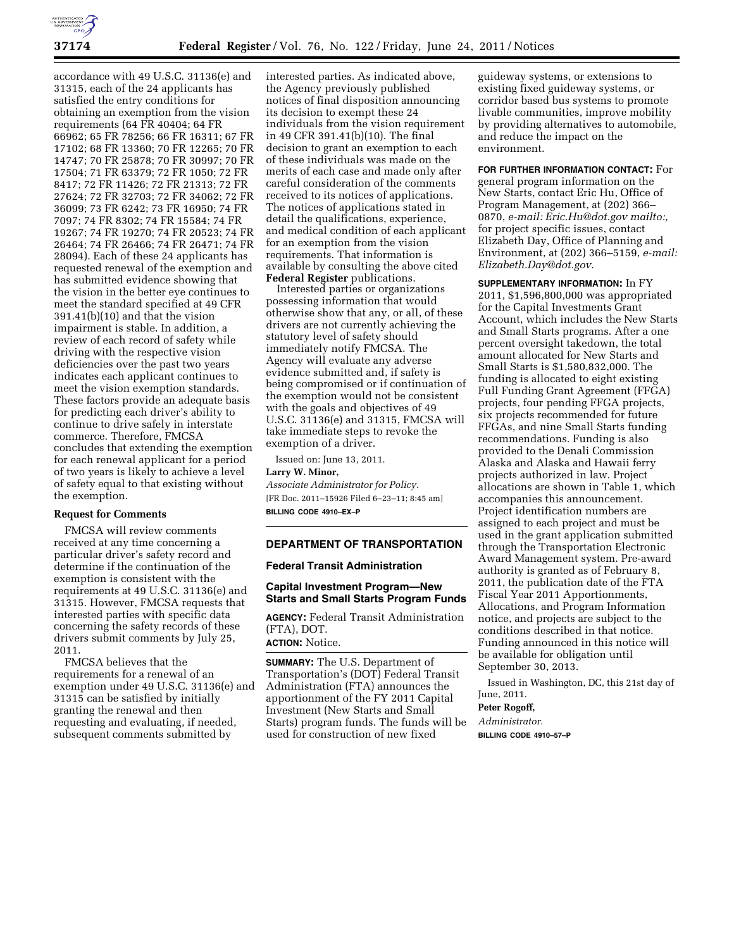

accordance with 49 U.S.C. 31136(e) and 31315, each of the 24 applicants has satisfied the entry conditions for obtaining an exemption from the vision requirements (64 FR 40404; 64 FR 66962; 65 FR 78256; 66 FR 16311; 67 FR 17102; 68 FR 13360; 70 FR 12265; 70 FR 14747; 70 FR 25878; 70 FR 30997; 70 FR 17504; 71 FR 63379; 72 FR 1050; 72 FR 8417; 72 FR 11426; 72 FR 21313; 72 FR 27624; 72 FR 32703; 72 FR 34062; 72 FR 36099; 73 FR 6242; 73 FR 16950; 74 FR 7097; 74 FR 8302; 74 FR 15584; 74 FR 19267; 74 FR 19270; 74 FR 20523; 74 FR 26464; 74 FR 26466; 74 FR 26471; 74 FR 28094). Each of these 24 applicants has requested renewal of the exemption and has submitted evidence showing that the vision in the better eye continues to meet the standard specified at 49 CFR 391.41(b)(10) and that the vision impairment is stable. In addition, a review of each record of safety while driving with the respective vision deficiencies over the past two years indicates each applicant continues to meet the vision exemption standards. These factors provide an adequate basis for predicting each driver's ability to continue to drive safely in interstate commerce. Therefore, FMCSA concludes that extending the exemption for each renewal applicant for a period of two years is likely to achieve a level of safety equal to that existing without the exemption.

## **Request for Comments**

FMCSA will review comments received at any time concerning a particular driver's safety record and determine if the continuation of the exemption is consistent with the requirements at 49 U.S.C. 31136(e) and 31315. However, FMCSA requests that interested parties with specific data concerning the safety records of these drivers submit comments by July 25, 2011.

FMCSA believes that the requirements for a renewal of an exemption under 49 U.S.C. 31136(e) and 31315 can be satisfied by initially granting the renewal and then requesting and evaluating, if needed, subsequent comments submitted by

interested parties. As indicated above, the Agency previously published notices of final disposition announcing its decision to exempt these 24 individuals from the vision requirement in 49 CFR 391.41(b)(10). The final decision to grant an exemption to each of these individuals was made on the merits of each case and made only after careful consideration of the comments received to its notices of applications. The notices of applications stated in detail the qualifications, experience, and medical condition of each applicant for an exemption from the vision requirements. That information is available by consulting the above cited **Federal Register** publications.

Interested parties or organizations possessing information that would otherwise show that any, or all, of these drivers are not currently achieving the statutory level of safety should immediately notify FMCSA. The Agency will evaluate any adverse evidence submitted and, if safety is being compromised or if continuation of the exemption would not be consistent with the goals and objectives of 49 U.S.C. 31136(e) and 31315, FMCSA will take immediate steps to revoke the exemption of a driver.

Issued on: June 13, 2011. **Larry W. Minor,**  *Associate Administrator for Policy.*  [FR Doc. 2011–15926 Filed 6–23–11; 8:45 am] **BILLING CODE 4910–EX–P** 

### **DEPARTMENT OF TRANSPORTATION**

## **Federal Transit Administration**

## **Capital Investment Program—New Starts and Small Starts Program Funds**

**AGENCY:** Federal Transit Administration (FTA), DOT.

## **ACTION:** Notice.

**SUMMARY:** The U.S. Department of Transportation's (DOT) Federal Transit Administration (FTA) announces the apportionment of the FY 2011 Capital Investment (New Starts and Small Starts) program funds. The funds will be used for construction of new fixed

guideway systems, or extensions to existing fixed guideway systems, or corridor based bus systems to promote livable communities, improve mobility by providing alternatives to automobile, and reduce the impact on the environment.

**FOR FURTHER INFORMATION CONTACT:** For general program information on the New Starts, contact Eric Hu, Office of Program Management, at (202) 366– 0870, *e-mail: [Eric.Hu@dot.gov](mailto:Eric.Hu@dot.gov) mailto:,*  for project specific issues, contact Elizabeth Day, Office of Planning and Environment, at (202) 366–5159, *e-mail: [Elizabeth.Day@dot.gov.](mailto:Elizabeth.Day@dot.gov)* 

**SUPPLEMENTARY INFORMATION:** In FY 2011, \$1,596,800,000 was appropriated for the Capital Investments Grant Account, which includes the New Starts and Small Starts programs. After a one percent oversight takedown, the total amount allocated for New Starts and Small Starts is \$1,580,832,000. The funding is allocated to eight existing Full Funding Grant Agreement (FFGA) projects, four pending FFGA projects, six projects recommended for future FFGAs, and nine Small Starts funding recommendations. Funding is also provided to the Denali Commission Alaska and Alaska and Hawaii ferry projects authorized in law. Project allocations are shown in Table 1, which accompanies this announcement. Project identification numbers are assigned to each project and must be used in the grant application submitted through the Transportation Electronic Award Management system. Pre-award authority is granted as of February 8, 2011, the publication date of the FTA Fiscal Year 2011 Apportionments, Allocations, and Program Information notice, and projects are subject to the conditions described in that notice. Funding announced in this notice will be available for obligation until September 30, 2013.

Issued in Washington, DC, this 21st day of June, 2011.

**Peter Rogoff,** 

*Administrator.* 

**BILLING CODE 4910–57–P**